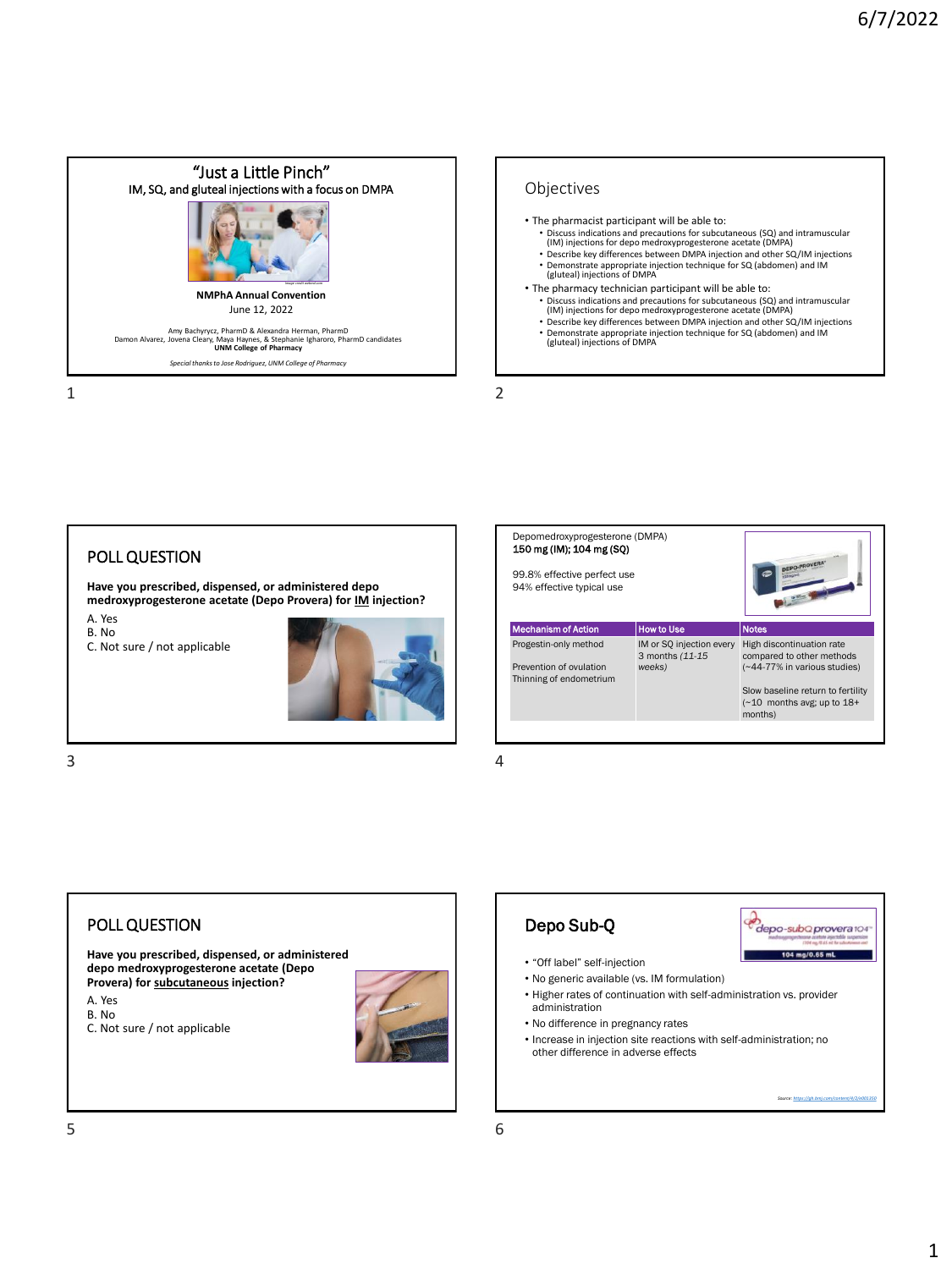



# POLL QUESTION

**Have you prescribed, dispensed, or administered depo medroxyprogesterone acetate (Depo Provera) for IM injection?**

A. Yes B. No

C. Not sure / not applicable



| Depomedroxyprogesterone (DMPA)<br>150 mg (IM); 104 mg (SO)<br>99.8% effective perfect use<br>94% effective typical use |                                                        |                                                                                                                                                                              |
|------------------------------------------------------------------------------------------------------------------------|--------------------------------------------------------|------------------------------------------------------------------------------------------------------------------------------------------------------------------------------|
| <b>Mechanism of Action</b>                                                                                             | <b>How to Use</b>                                      | <b>Notes</b>                                                                                                                                                                 |
| Progestin-only method<br>Prevention of ovulation<br>Thinning of endometrium                                            | IM or SQ injection every<br>3 months (11-15)<br>weeks) | High discontinuation rate<br>compared to other methods<br>(~44-77% in various studies)<br>Slow baseline return to fertility<br>$(\sim 10$ months avg; up to $18+$<br>months) |
|                                                                                                                        |                                                        |                                                                                                                                                                              |
|                                                                                                                        |                                                        |                                                                                                                                                                              |

 $3 \hspace{2.5cm} 4$ 





*Source:<https://gh.bmj.com/content/4/2/e001350>*

A. Yes B. No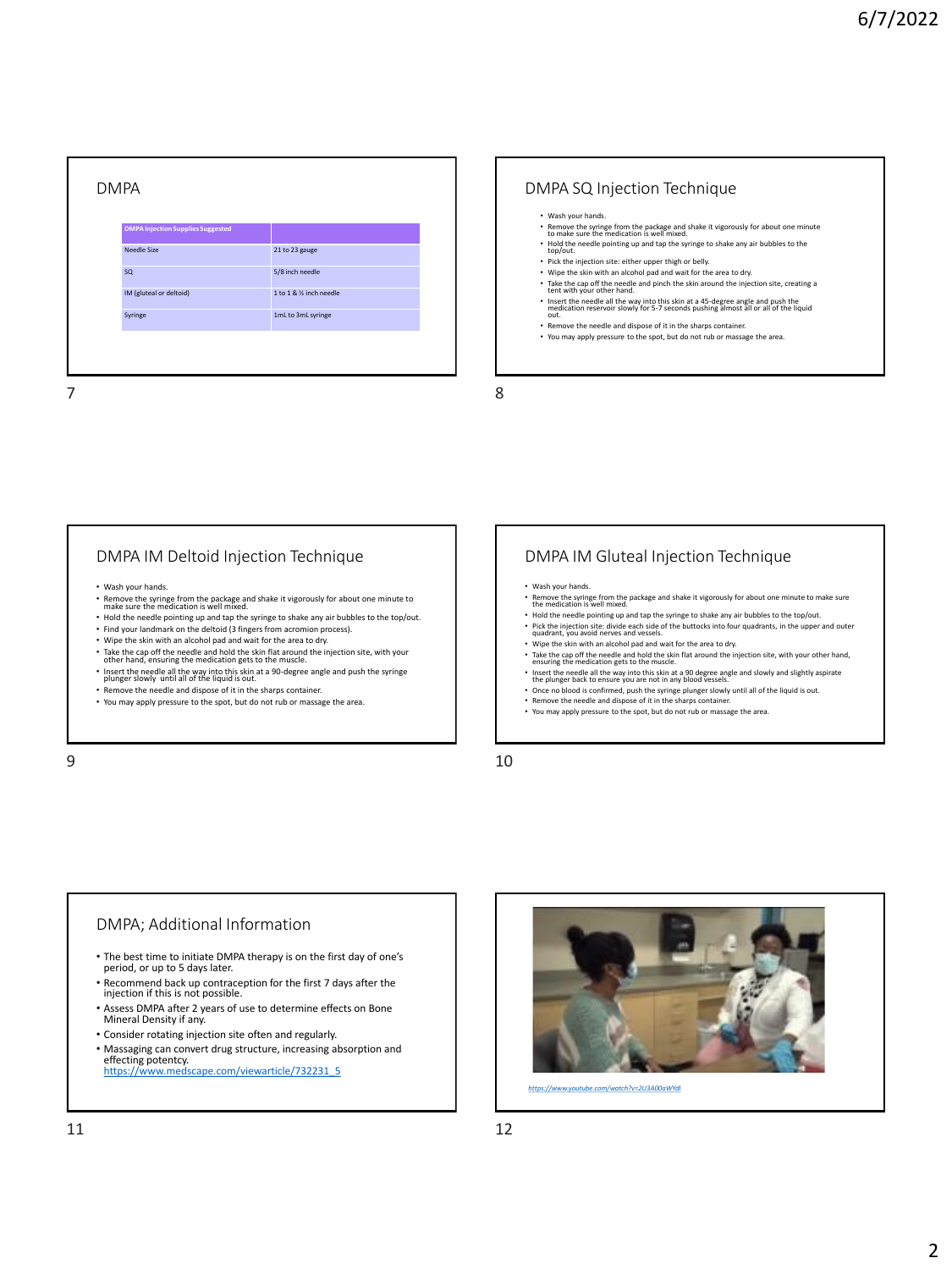| <b>DMPA Injection Supplies Suggested</b> |                        |
|------------------------------------------|------------------------|
| <b>Needle Size</b>                       | 21 to 23 gauge         |
| <b>SQ</b>                                | 5/8 inch needle        |
| IM (gluteal or deltoid)                  | 1 to 1 & % inch needle |
| Syringe                                  | 1mL to 3mL syringe     |

#### DMPA SQ Injection Technique

- Wash your hands.
- Remove the syringe from the package and shake it vigorously for about one minute to make sure the medication is well mixed.
- Hold the needle pointing up and tap the syringe to shake any air bubbles to the top/out.
- Pick the injection site: either upper thigh or belly.<br>• Wine the skin with an alcohol pad and wait for the area to dry.
- Wipe the skin with an alcohol pad and wait for the area to dry. Take the cap off the needle and pinch the skin around the injection site, creating a tent with your other hand.
- Insert the needle all the way into this skin at a 45-degree angle and push the medication reservoir slowly for 5-7 seconds pushing almost all or all of the liquid out.
- Remove the needle and dispose of it in the sharps container.
- You may apply pressure to the spot, but do not rub or massage the area.

# DMPA IM Deltoid Injection Technique

- Wash your hands.
- Remove the syringe from the package and shake it vigorously for about one minute to make sure the medication is well mixed.
- Hold the needle pointing up and tap the syringe to shake any air bubbles to the top/out.
- Find your landmark on the deltoid (3 fingers from acromion process).
- Wipe the skin with an alcohol pad and wait for the area to dry.
- Take the cap off the needle and hold the skin flat around the injection site, with your other hand, ensuring the medication gets to the muscle.
- Insert the needle all the way into this skin at a 90-degree angle and push the syringe plunger slowly until all of the liquid is out.
- Remove the needle and dispose of it in the sharps container • You may apply pressure to the spot, but do not rub or massage the area.

## DMPA IM Gluteal Injection Technique

- Wash your hands.
- Remove the syringe from the package and shake it vigorously for about one minute to make sure the medication is well mixed. • Hold the needle pointing up and tap the syringe to shake any air bubbles to the top/out.
- Pick the injection site: divide each side of the buttocks into four quadrants, in the upper and outer<br>quadrant, you avoid nerves and vessels.<br>• Wipe the skin with an alcohol pad and wait for the area to dry.
- 
- Take the cap off the needle and hold the skin flat around the injection site, with your other hand, ensuring the medication gets to the muscle.
- Insert the needle all the way into this skin at a 90 degree angle and slowly and slightly aspirate<br>the plunger back to ensure you are not in any blood vessels.<br>• Once no blood is confirmed, push the syringe plunger slowl
- Remove the needle and dispose of it in the sharps container.
- You may apply pressure to the spot, but do not rub or massage the area.

 $9 \hspace{2.5cm} 10$ 

## DMPA; Additional Information

- The best time to initiate DMPA therapy is on the first day of one's period, or up to 5 days later.
- Recommend back up contraception for the first 7 days after the injection if this is not possible.
- Assess DMPA after 2 years of use to determine effects on Bone Mineral Density if any.
- Consider rotating injection site often and regularly.
- Massaging can convert drug structure, increasing absorption and effecting potentcy.<br>[https://www.medscape.com/viewarticle/732231\\_5](https://www.medscape.com/viewarticle/732231_5)